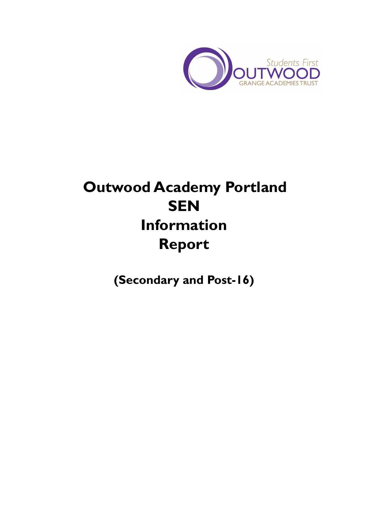

# **Outwood Academy Portland SEN Information Report**

**(Secondary and Post-16)**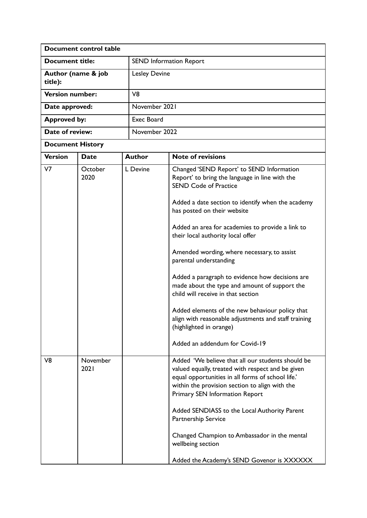| Document control table        |                  |  |                                |                                                                                                                                                                                                                                                 |  |  |
|-------------------------------|------------------|--|--------------------------------|-------------------------------------------------------------------------------------------------------------------------------------------------------------------------------------------------------------------------------------------------|--|--|
| <b>Document title:</b>        |                  |  | <b>SEND Information Report</b> |                                                                                                                                                                                                                                                 |  |  |
| Author (name & job<br>title): |                  |  | <b>Lesley Devine</b>           |                                                                                                                                                                                                                                                 |  |  |
| <b>Version number:</b>        |                  |  | V8                             |                                                                                                                                                                                                                                                 |  |  |
| Date approved:                |                  |  | November 2021                  |                                                                                                                                                                                                                                                 |  |  |
| <b>Approved by:</b>           |                  |  | <b>Exec Board</b>              |                                                                                                                                                                                                                                                 |  |  |
| Date of review:               |                  |  | November 2022                  |                                                                                                                                                                                                                                                 |  |  |
| <b>Document History</b>       |                  |  |                                |                                                                                                                                                                                                                                                 |  |  |
| <b>Version</b>                | <b>Date</b>      |  | <b>Author</b>                  | <b>Note of revisions</b>                                                                                                                                                                                                                        |  |  |
| V <sub>7</sub>                | October<br>2020  |  | L Devine                       | Changed 'SEND Report' to SEND Information<br>Report' to bring the language in line with the<br><b>SEND Code of Practice</b>                                                                                                                     |  |  |
|                               |                  |  |                                | Added a date section to identify when the academy<br>has posted on their website                                                                                                                                                                |  |  |
|                               |                  |  |                                | Added an area for academies to provide a link to<br>their local authority local offer                                                                                                                                                           |  |  |
|                               |                  |  |                                | Amended wording, where necessary, to assist<br>parental understanding                                                                                                                                                                           |  |  |
|                               |                  |  |                                | Added a paragraph to evidence how decisions are<br>made about the type and amount of support the<br>child will receive in that section                                                                                                          |  |  |
|                               |                  |  |                                | Added elements of the new behaviour policy that<br>align with reasonable adjustments and staff training<br>(highlighted in orange)                                                                                                              |  |  |
|                               |                  |  |                                | Added an addendum for Covid-19                                                                                                                                                                                                                  |  |  |
| V <sub>8</sub>                | November<br>2021 |  |                                | Added 'We believe that all our students should be<br>valued equally, treated with respect and be given<br>equal opportunities in all forms of school life.'<br>within the provision section to align with the<br>Primary SEN Information Report |  |  |
|                               |                  |  |                                | Added SENDIASS to the Local Authority Parent<br>Partnership Service                                                                                                                                                                             |  |  |
|                               |                  |  |                                | Changed Champion to Ambassador in the mental<br>wellbeing section                                                                                                                                                                               |  |  |
|                               |                  |  |                                | Added the Academy's SEND Govenor is XXXXXX                                                                                                                                                                                                      |  |  |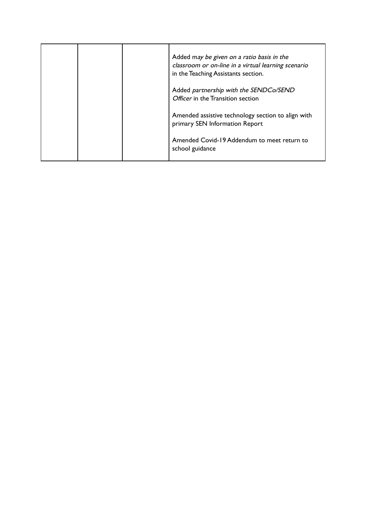|  | Added may be given on a ratio basis in the<br>classroom or on-line in a virtual learning scenario<br>in the Teaching Assistants section. |
|--|------------------------------------------------------------------------------------------------------------------------------------------|
|  | Added partnership with the SENDCo/SEND<br>Officer in the Transition section                                                              |
|  | Amended assistive technology section to align with<br>primary SEN Information Report                                                     |
|  | Amended Covid-19 Addendum to meet return to<br>school guidance                                                                           |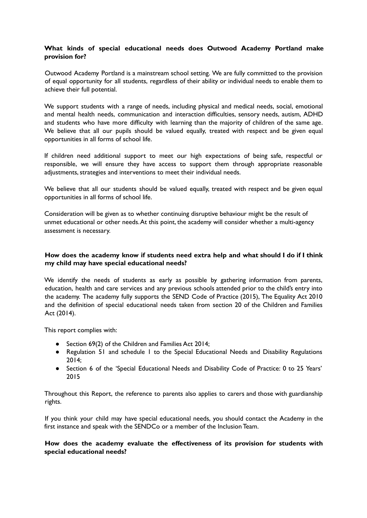# **What kinds of special educational needs does Outwood Academy Portland make provision for?**

Outwood Academy Portland is a mainstream school setting. We are fully committed to the provision of equal opportunity for all students, regardless of their ability or individual needs to enable them to achieve their full potential.

We support students with a range of needs, including physical and medical needs, social, emotional and mental health needs, communication and interaction difficulties, sensory needs, autism, ADHD and students who have more difficulty with learning than the majority of children of the same age. We believe that all our pupils should be valued equally, treated with respect and be given equal opportunities in all forms of school life.

If children need additional support to meet our high expectations of being safe, respectful or responsible, we will ensure they have access to support them through appropriate reasonable adjustments, strategies and interventions to meet their individual needs.

We believe that all our students should be valued equally, treated with respect and be given equal opportunities in all forms of school life.

Consideration will be given as to whether continuing disruptive behaviour might be the result of unmet educational or other needs.At this point, the academy will consider whether a multi-agency assessment is necessary.

# **How does the academy know if students need extra help and what should I do if I think my child may have special educational needs?**

We identify the needs of students as early as possible by gathering information from parents, education, health and care services and any previous schools attended prior to the child's entry into the academy. The academy fully supports the SEND Code of Practice (2015), The Equality Act 2010 and the definition of special educational needs taken from section 20 of the Children and Families Act (2014).

This report complies with:

- Section 69(2) of the Children and Families Act 2014;
- Regulation 51 and schedule 1 to the Special Educational Needs and Disability Regulations 2014;
- Section 6 of the 'Special Educational Needs and Disability Code of Practice: 0 to 25 Years' 2015

Throughout this Report, the reference to parents also applies to carers and those with guardianship rights.

If you think your child may have special educational needs, you should contact the Academy in the first instance and speak with the SENDCo or a member of the Inclusion Team.

## **How does the academy evaluate the effectiveness of its provision for students with special educational needs?**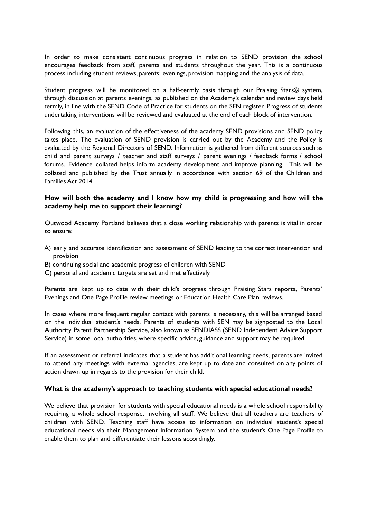In order to make consistent continuous progress in relation to SEND provision the school encourages feedback from staff, parents and students throughout the year. This is a continuous process including student reviews, parents' evenings, provision mapping and the analysis of data.

Student progress will be monitored on a half-termly basis through our Praising Stars© system, through discussion at parents evenings, as published on the Academy's calendar and review days held termly, in line with the SEND Code of Practice for students on the SEN register. Progress of students undertaking interventions will be reviewed and evaluated at the end of each block of intervention.

Following this, an evaluation of the effectiveness of the academy SEND provisions and SEND policy takes place. The evaluation of SEND provision is carried out by the Academy and the Policy is evaluated by the Regional Directors of SEND. Information is gathered from different sources such as child and parent surveys / teacher and staff surveys / parent evenings / feedback forms / school forums. Evidence collated helps inform academy development and improve planning. This will be collated and published by the Trust annually in accordance with section 69 of the Children and Families Act 2014.

# **How will both the academy and I know how my child is progressing and how will the academy help me to support their learning?**

Outwood Academy Portland believes that a close working relationship with parents is vital in order to ensure:

- A) early and accurate identification and assessment of SEND leading to the correct intervention and provision
- B) continuing social and academic progress of children with SEND
- C) personal and academic targets are set and met effectively

Parents are kept up to date with their child's progress through Praising Stars reports, Parents' Evenings and One Page Profile review meetings or Education Health Care Plan reviews.

In cases where more frequent regular contact with parents is necessary, this will be arranged based on the individual student's needs. Parents of students with SEN may be signposted to the Local Authority Parent Partnership Service, also known as SENDIASS (SEND Independent Advice Support Service) in some local authorities, where specific advice, guidance and support may be required.

If an assessment or referral indicates that a student has additional learning needs, parents are invited to attend any meetings with external agencies, are kept up to date and consulted on any points of action drawn up in regards to the provision for their child.

#### **What is the academy's approach to teaching students with special educational needs?**

We believe that provision for students with special educational needs is a whole school responsibility requiring a whole school response, involving all staff. We believe that all teachers are teachers of children with SEND. Teaching staff have access to information on individual student's special educational needs via their Management Information System and the student's One Page Profile to enable them to plan and differentiate their lessons accordingly.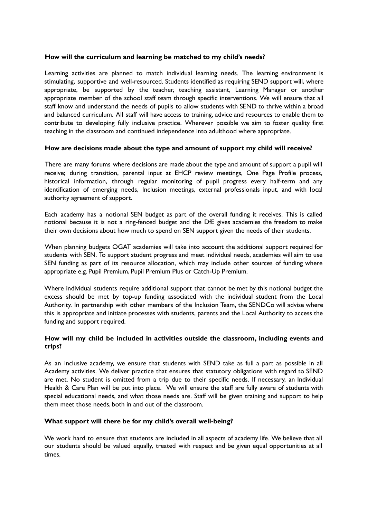#### **How will the curriculum and learning be matched to my child's needs?**

Learning activities are planned to match individual learning needs. The learning environment is stimulating, supportive and well-resourced. Students identified as requiring SEND support will, where appropriate, be supported by the teacher, teaching assistant, Learning Manager or another appropriate member of the school staff team through specific interventions. We will ensure that all staff know and understand the needs of pupils to allow students with SEND to thrive within a broad and balanced curriculum. All staff will have access to training, advice and resources to enable them to contribute to developing fully inclusive practice. Wherever possible we aim to foster quality first teaching in the classroom and continued independence into adulthood where appropriate.

## **How are decisions made about the type and amount of support my child will receive?**

There are many forums where decisions are made about the type and amount of support a pupil will receive; during transition, parental input at EHCP review meetings, One Page Profile process, historical information, through regular monitoring of pupil progress every half-term and any identification of emerging needs, Inclusion meetings, external professionals input, and with local authority agreement of support.

Each academy has a notional SEN budget as part of the overall funding it receives. This is called notional because it is not a ring-fenced budget and the DfE gives academies the freedom to make their own decisions about how much to spend on SEN support given the needs of their students.

When planning budgets OGAT academies will take into account the additional support required for students with SEN. To support student progress and meet individual needs, academies will aim to use SEN funding as part of its resource allocation, which may include other sources of funding where appropriate e.g. Pupil Premium, Pupil Premium Plus or Catch-Up Premium.

Where individual students require additional support that cannot be met by this notional budget the excess should be met by top-up funding associated with the individual student from the Local Authority. In partnership with other members of the Inclusion Team, the SENDCo will advise where this is appropriate and initiate processes with students, parents and the Local Authority to access the funding and support required.

# **How will my child be included in activities outside the classroom, including events and trips?**

As an inclusive academy, we ensure that students with SEND take as full a part as possible in all Academy activities. We deliver practice that ensures that statutory obligations with regard to SEND are met. No student is omitted from a trip due to their specific needs. If necessary, an Individual Health & Care Plan will be put into place. We will ensure the staff are fully aware of students with special educational needs, and what those needs are. Staff will be given training and support to help them meet those needs, both in and out of the classroom.

#### **What support will there be for my child's overall well-being?**

We work hard to ensure that students are included in all aspects of academy life. We believe that all our students should be valued equally, treated with respect and be given equal opportunities at all times.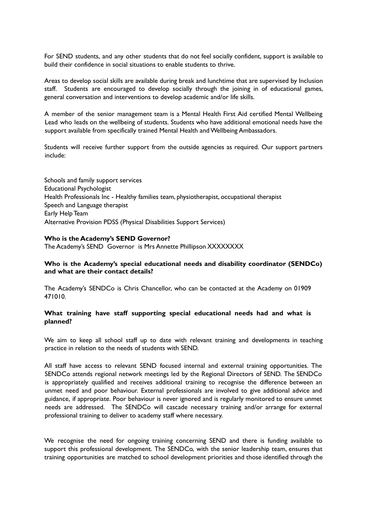For SEND students, and any other students that do not feel socially confident, support is available to build their confidence in social situations to enable students to thrive.

Areas to develop social skills are available during break and lunchtime that are supervised by Inclusion staff. Students are encouraged to develop socially through the joining in of educational games, general conversation and interventions to develop academic and/or life skills.

A member of the senior management team is a Mental Health First Aid certified Mental Wellbeing Lead who leads on the wellbeing of students. Students who have additional emotional needs have the support available from specifically trained Mental Health and Wellbeing Ambassadors.

Students will receive further support from the outside agencies as required. Our support partners include:

Schools and family support services Educational Psychologist Health Professionals Inc - Healthy families team, physiotherapist, occupational therapist Speech and Language therapist Early Help Team Alternative Provision PDSS (Physical Disabilities Support Services)

#### **Who is the Academy's SEND Governor?**

The Academy's SEND Governor is Mrs Annette Phillipson XXXXXXXX

## **Who is the Academy's special educational needs and disability coordinator (SENDCo) and what are their contact details?**

The Academy's SENDCo is Chris Chancellor, who can be contacted at the Academy on 01909 471010.

## **What training have staff supporting special educational needs had and what is planned?**

We aim to keep all school staff up to date with relevant training and developments in teaching practice in relation to the needs of students with SEND.

All staff have access to relevant SEND focused internal and external training opportunities. The SENDCo attends regional network meetings led by the Regional Directors of SEND. The SENDCo is appropriately qualified and receives additional training to recognise the difference between an unmet need and poor behaviour. External professionals are involved to give additional advice and guidance, if appropriate. Poor behaviour is never ignored and is regularly monitored to ensure unmet needs are addressed. The SENDCo will cascade necessary training and/or arrange for external professional training to deliver to academy staff where necessary.

We recognise the need for ongoing training concerning SEND and there is funding available to support this professional development. The SENDCo, with the senior leadership team, ensures that training opportunities are matched to school development priorities and those identified through the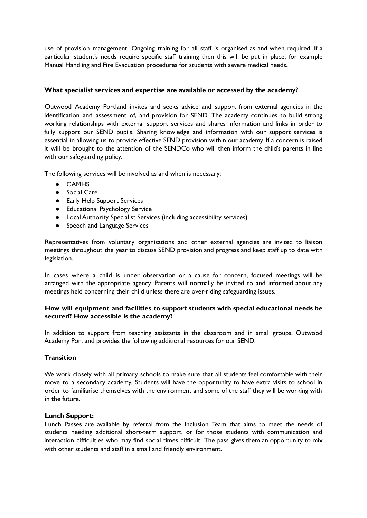use of provision management. Ongoing training for all staff is organised as and when required. If a particular student's needs require specific staff training then this will be put in place, for example Manual Handling and Fire Evacuation procedures for students with severe medical needs.

# **What specialist services and expertise are available or accessed by the academy?**

Outwood Academy Portland invites and seeks advice and support from external agencies in the identification and assessment of, and provision for SEND. The academy continues to build strong working relationships with external support services and shares information and links in order to fully support our SEND pupils. Sharing knowledge and information with our support services is essential in allowing us to provide effective SEND provision within our academy. If a concern is raised it will be brought to the attention of the SENDCo who will then inform the child's parents in line with our safeguarding policy.

The following services will be involved as and when is necessary:

- CAMHS
- Social Care
- Early Help Support Services
- Educational Psychology Service
- Local Authority Specialist Services (including accessibility services)
- Speech and Language Services

Representatives from voluntary organisations and other external agencies are invited to liaison meetings throughout the year to discuss SEND provision and progress and keep staff up to date with legislation.

In cases where a child is under observation or a cause for concern, focused meetings will be arranged with the appropriate agency. Parents will normally be invited to and informed about any meetings held concerning their child unless there are over-riding safeguarding issues.

# **How will equipment and facilities to support students with special educational needs be secured? How accessible is the academy?**

In addition to support from teaching assistants in the classroom and in small groups, Outwood Academy Portland provides the following additional resources for our SEND:

#### **Transition**

We work closely with all primary schools to make sure that all students feel comfortable with their move to a secondary academy. Students will have the opportunity to have extra visits to school in order to familiarise themselves with the environment and some of the staff they will be working with in the future.

#### **Lunch Support:**

Lunch Passes are available by referral from the Inclusion Team that aims to meet the needs of students needing additional short-term support, or for those students with communication and interaction difficulties who may find social times difficult. The pass gives them an opportunity to mix with other students and staff in a small and friendly environment.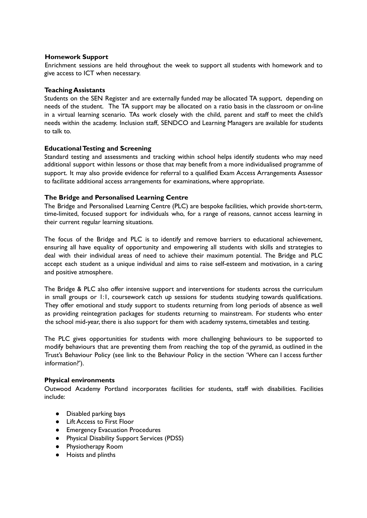## **Homework Support**

Enrichment sessions are held throughout the week to support all students with homework and to give access to ICT when necessary.

## **Teaching Assistants**

Students on the SEN Register and are externally funded may be allocated TA support, depending on needs of the student. The TA support may be allocated on a ratio basis in the classroom or on-line in a virtual learning scenario. TAs work closely with the child, parent and staff to meet the child's needs within the academy. Inclusion staff, SENDCO and Learning Managers are available for students to talk to.

## **EducationalTesting and Screening**

Standard testing and assessments and tracking within school helps identify students who may need additional support within lessons or those that may benefit from a more individualised programme of support. It may also provide evidence for referral to a qualified Exam Access Arrangements Assessor to facilitate additional access arrangements for examinations, where appropriate.

## **The Bridge and Personalised Learning Centre**

The Bridge and Personalised Learning Centre (PLC) are bespoke facilities, which provide short-term, time-limited, focused support for individuals who, for a range of reasons, cannot access learning in their current regular learning situations.

The focus of the Bridge and PLC is to identify and remove barriers to educational achievement, ensuring all have equality of opportunity and empowering all students with skills and strategies to deal with their individual areas of need to achieve their maximum potential. The Bridge and PLC accept each student as a unique individual and aims to raise self-esteem and motivation, in a caring and positive atmosphere.

The Bridge & PLC also offer intensive support and interventions for students across the curriculum in small groups or 1:1, coursework catch up sessions for students studying towards qualifications. They offer emotional and study support to students returning from long periods of absence as well as providing reintegration packages for students returning to mainstream. For students who enter the school mid-year, there is also support for them with academy systems, timetables and testing.

The PLC gives opportunities for students with more challenging behaviours to be supported to modify behaviours that are preventing them from reaching the top of the pyramid, as outlined in the Trust's Behaviour Policy (see link to the Behaviour Policy in the section 'Where can I access further information?').

#### **Physical environments**

Outwood Academy Portland incorporates facilities for students, staff with disabilities. Facilities include:

- Disabled parking bays
- Lift Access to First Floor
- Emergency Evacuation Procedures
- Physical Disability Support Services (PDSS)
- Physiotherapy Room
- Hoists and plinths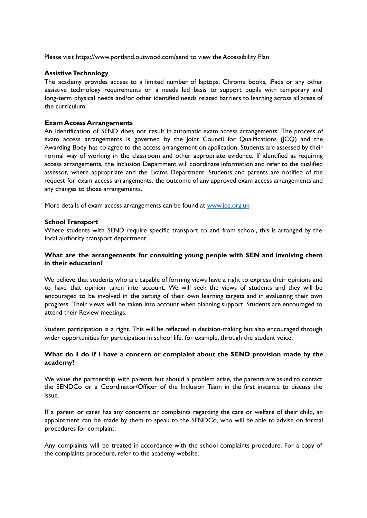Please visit <https://www.portland.outwood.com/send> to view the Accessibility Plan

#### **AssistiveTechnology**

The academy provides access to a limited number of laptops, Chrome books, iPads or any other assistive technology requirements on a needs led basis to support pupils with temporary and long-term physical needs and/or other identified needs related barriers to learning across all areas of the curriculum.

#### **Exam Access Arrangements**

An identification of SEND does not result in automatic exam access arrangements. The process of exam access arrangements is governed by the Joint Council for Qualifications (JCQ) and the Awarding Body has to agree to the access arrangement on application. Students are assessed by their normal way of working in the classroom and other appropriate evidence. If identified as requiring access arrangements, the Inclusion Department will coordinate information and refer to the qualified assessor, where appropriate and the Exams Department. Students and parents are notified of the request for exam access arrangements, the outcome of any approved exam access arrangements and any changes to those arrangements.

More details of exam access arrangements can be found at www.jcq.org.uk

#### **SchoolTransport**

Where students with SEND require specific transport to and from school, this is arranged by the local authority transport department.

## **What are the arrangements for consulting young people with SEN and involving them in their education?**

We believe that students who are capable of forming views have a right to express their opinions and to have that opinion taken into account. We will seek the views of students and they will be encouraged to be involved in the setting of their own learning targets and in evaluating their own progress. Their views will be taken into account when planning support. Students are encouraged to attend their Review meetings.

Student participation is a right. This will be reflected in decision-making but also encouraged through wider opportunities for participation in school life, for example, through the student voice.

# **What do I do if I have a concern or complaint about the SEND provision made by the academy?**

We value the partnership with parents but should a problem arise, the parents are asked to contact the SENDCo or a Coordinator/Officer of the Inclusion Team in the first instance to discuss the issue.

If a parent or carer has any concerns or complaints regarding the care or welfare of their child, an appointment can be made by them to speak to the SENDCo, who will be able to advise on formal procedures for complaint.

Any complaints will be treated in accordance with the school complaints procedure. For a copy of the complaints procedure, refer to the academy website.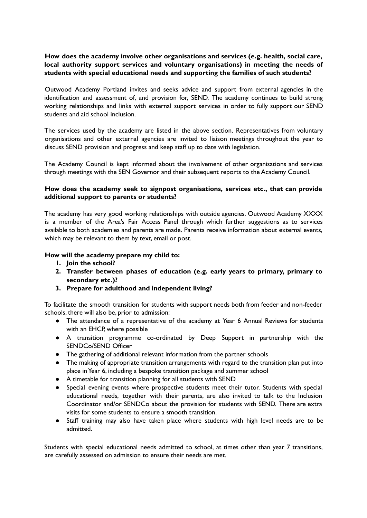# **How does the academy involve other organisations and services (e.g. health, social care, local authority support services and voluntary organisations) in meeting the needs of students with special educational needs and supporting the families of such students?**

Outwood Academy Portland invites and seeks advice and support from external agencies in the identification and assessment of, and provision for, SEND. The academy continues to build strong working relationships and links with external support services in order to fully support our SEND students and aid school inclusion.

The services used by the academy are listed in the above section. Representatives from voluntary organisations and other external agencies are invited to liaison meetings throughout the year to discuss SEND provision and progress and keep staff up to date with legislation.

The Academy Council is kept informed about the involvement of other organisations and services through meetings with the SEN Governor and their subsequent reports to the Academy Council.

# **How does the academy seek to signpost organisations, services etc., that can provide additional support to parents or students?**

The academy has very good working relationships with outside agencies. Outwood Academy XXXX is a member of the Area's Fair Access Panel through which further suggestions as to services available to both academies and parents are made. Parents receive information about external events, which may be relevant to them by text, email or post.

## **How will the academy prepare my child to:**

- **1. Join the school?**
- **2. Transfer between phases of education (e.g. early years to primary, primary to secondary etc.)?**
- **3. Prepare for adulthood and independent living?**

To facilitate the smooth transition for students with support needs both from feeder and non-feeder schools, there will also be, prior to admission:

- The attendance of a representative of the academy at Year 6 Annual Reviews for students with an EHCP, where possible
- A transition programme co-ordinated by Deep Support in partnership with the SENDCo/SEND Officer
- The gathering of additional relevant information from the partner schools
- The making of appropriate transition arrangements with regard to the transition plan put into place inYear 6, including a bespoke transition package and summer school
- A timetable for transition planning for all students with SEND
- Special evening events where prospective students meet their tutor. Students with special educational needs, together with their parents, are also invited to talk to the Inclusion Coordinator and/or SENDCo about the provision for students with SEND. There are extra visits for some students to ensure a smooth transition.
- Staff training may also have taken place where students with high level needs are to be admitted.

Students with special educational needs admitted to school, at times other than year 7 transitions, are carefully assessed on admission to ensure their needs are met.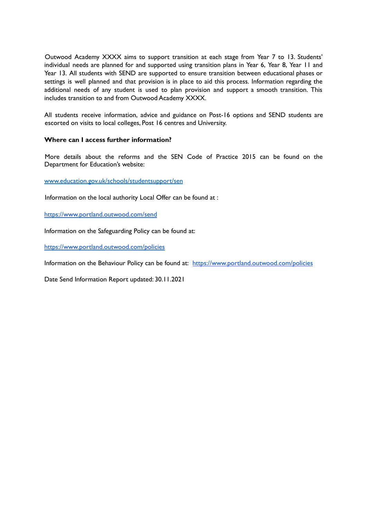Outwood Academy XXXX aims to support transition at each stage from Year 7 to 13. Students' individual needs are planned for and supported using transition plans in Year 6, Year 8, Year 11 and Year 13. All students with SEND are supported to ensure transition between educational phases or settings is well planned and that provision is in place to aid this process. Information regarding the additional needs of any student is used to plan provision and support a smooth transition. This includes transition to and from Outwood Academy XXXX.

All students receive information, advice and guidance on Post-16 options and SEND students are escorted on visits to local colleges, Post 16 centres and University.

# **Where can I access further information?**

More details about the reforms and the SEN Code of Practice 2015 can be found on the Department for Education's website:

www.education.gov.uk/schools/studentsupport/sen

Information on the local authority Local Offer can be found at :

<https://www.portland.outwood.com/send>

Information on the Safeguarding Policy can be found at:

<https://www.portland.outwood.com/policies>

Information on the Behaviour Policy can be found at: <https://www.portland.outwood.com/policies>

Date Send Information Report updated: 30.11.2021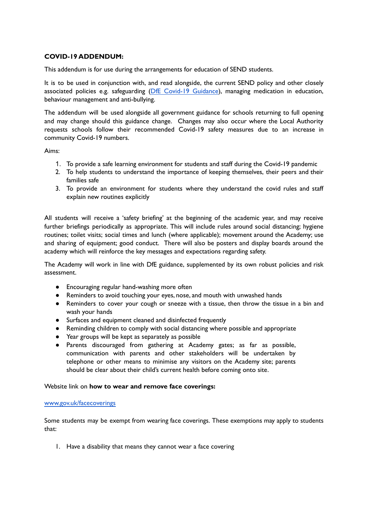# **COVID-19 ADDENDUM:**

This addendum is for use during the arrangements for education of SEND students.

It is to be used in conjunction with, and read alongside, the current SEND policy and other closely associated policies e.g. safeguarding (DfE Covid-19 [Guidance\)](https://www.gov.uk/government/publications/covid-19-safeguarding-in-schools-colleges-and-other-providers), managing medication in education, behaviour management and anti-bullying.

The addendum will be used alongside all government guidance for schools returning to full opening and may change should this guidance change. Changes may also occur where the Local Authority requests schools follow their recommended Covid-19 safety measures due to an increase in community Covid-19 numbers.

Aims:

- 1. To provide a safe learning environment for students and staff during the Covid-19 pandemic
- 2. To help students to understand the importance of keeping themselves, their peers and their families safe
- 3. To provide an environment for students where they understand the covid rules and staff explain new routines explicitly

All students will receive a 'safety briefing' at the beginning of the academic year, and may receive further briefings periodically as appropriate. This will include rules around social distancing; hygiene routines; toilet visits; social times and lunch (where applicable); movement around the Academy; use and sharing of equipment; good conduct. There will also be posters and display boards around the academy which will reinforce the key messages and expectations regarding safety.

The Academy will work in line with DfE guidance, supplemented by its own robust policies and risk assessment.

- Encouraging regular hand-washing more often
- Reminders to avoid touching your eyes, nose, and mouth with unwashed hands
- Reminders to cover your cough or sneeze with a tissue, then throw the tissue in a bin and wash your hands
- Surfaces and equipment cleaned and disinfected frequently
- Reminding children to comply with social distancing where possible and appropriate
- Year groups will be kept as separately as possible
- Parents discouraged from gathering at Academy gates; as far as possible, communication with parents and other stakeholders will be undertaken by telephone or other means to minimise any visitors on the Academy site; parents should be clear about their child's current health before coming onto site.

#### Website link on **how to wear and remove face coverings:**

#### [www.gov.uk/facecoverings](https://www.gov.uk/government/publications/face-coverings-when-to-wear-one-and-how-to-make-your-own/face-coverings-when-to-wear-one-and-how-to-make-your-own)

Some students may be exempt from wearing face coverings. These exemptions may apply to students that:

1. Have a disability that means they cannot wear a face covering